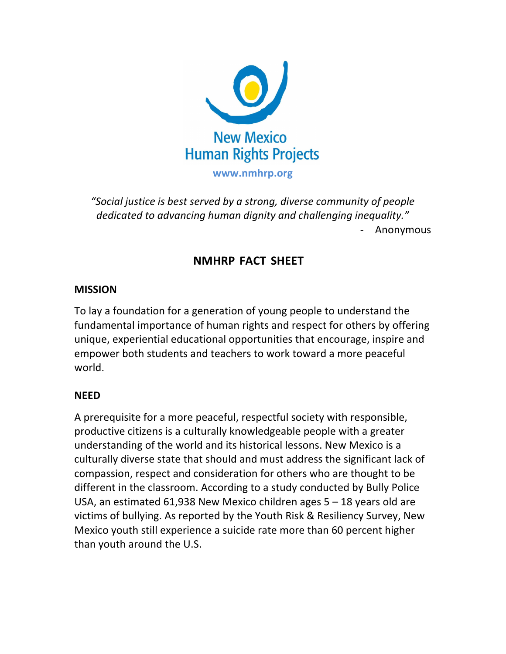

*"Social justice is best served by a strong, diverse community of people dedicated to advancing human dignity and challenging inequality."* - Anonymous

# **NMHRP FACT SHEET**

### **MISSION**

To lay a foundation for a generation of young people to understand the fundamental importance of human rights and respect for others by offering unique, experiential educational opportunities that encourage, inspire and empower both students and teachers to work toward a more peaceful world.

#### **NEED**

A prerequisite for a more peaceful, respectful society with responsible, productive citizens is a culturally knowledgeable people with a greater understanding of the world and its historical lessons. New Mexico is a culturally diverse state that should and must address the significant lack of compassion, respect and consideration for others who are thought to be different in the classroom. According to a study conducted by Bully Police USA, an estimated  $61,938$  New Mexico children ages  $5 - 18$  years old are victims of bullying. As reported by the Youth Risk & Resiliency Survey, New Mexico youth still experience a suicide rate more than 60 percent higher than youth around the U.S.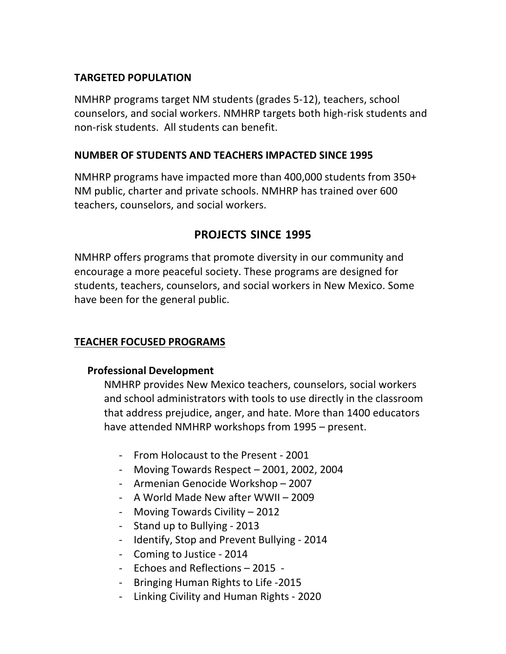# **TARGETED POPULATION**

NMHRP programs target NM students (grades 5-12), teachers, school counselors, and social workers. NMHRP targets both high-risk students and non-risk students. All students can benefit.

## **NUMBER OF STUDENTS AND TEACHERS IMPACTED SINCE 1995**

NMHRP programs have impacted more than 400,000 students from 350+ NM public, charter and private schools. NMHRP has trained over 600 teachers, counselors, and social workers.

# **PROJECTS SINCE 1995**

NMHRP offers programs that promote diversity in our community and encourage a more peaceful society. These programs are designed for students, teachers, counselors, and social workers in New Mexico. Some have been for the general public.

## **TEACHER FOCUSED PROGRAMS**

## **Professional Development**

NMHRP provides New Mexico teachers, counselors, social workers and school administrators with tools to use directly in the classroom that address prejudice, anger, and hate. More than 1400 educators have attended NMHRP workshops from 1995 – present.

- From Holocaust to the Present 2001
- Moving Towards Respect 2001, 2002, 2004
- Armenian Genocide Workshop 2007
- A World Made New after WWII 2009
- Moving Towards Civility 2012
- Stand up to Bullying 2013
- Identify, Stop and Prevent Bullying 2014
- Coming to Justice 2014
- Echoes and Reflections 2015 -
- Bringing Human Rights to Life -2015
- Linking Civility and Human Rights 2020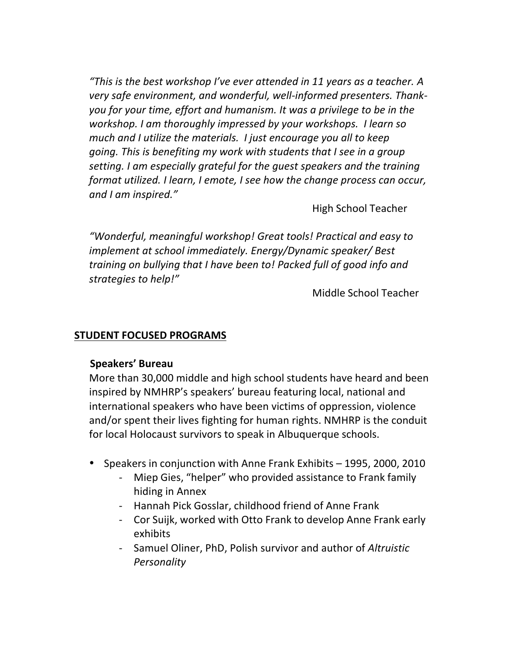*"This is the best workshop I've ever attended in 11 years as a teacher. A* very safe environment, and wonderful, well-informed presenters. Thank*you* for your time, effort and humanism. It was a privilege to be in the *workshop. I am thoroughly impressed by your workshops. I learn so much and I utilize the materials. I just encourage you all to keep going. This is benefiting my work with students that I see in a group setting. I* am especially grateful for the quest speakers and the training *format utilized. I* learn, *I* emote, *I* see how the change process can occur, *and I am inspired."*

High School Teacher

*"Wonderful, meaningful workshop! Great tools! Practical and easy to implement at school immediately. Energy/Dynamic speaker/ Best training* on bullying that I have been to! Packed full of good info and *strategies to help!"*

Middle School Teacher

#### **STUDENT FOCUSED PROGRAMS**

#### **Speakers' Bureau**

More than 30,000 middle and high school students have heard and been inspired by NMHRP's speakers' bureau featuring local, national and international speakers who have been victims of oppression, violence and/or spent their lives fighting for human rights. NMHRP is the conduit for local Holocaust survivors to speak in Albuquerque schools.

- Speakers in conjunction with Anne Frank Exhibits 1995, 2000, 2010
	- Miep Gies, "helper" who provided assistance to Frank family hiding in Annex
	- Hannah Pick Gosslar, childhood friend of Anne Frank
	- Cor Suijk, worked with Otto Frank to develop Anne Frank early exhibits
	- Samuel Oliner, PhD, Polish survivor and author of *Altruistic Personality*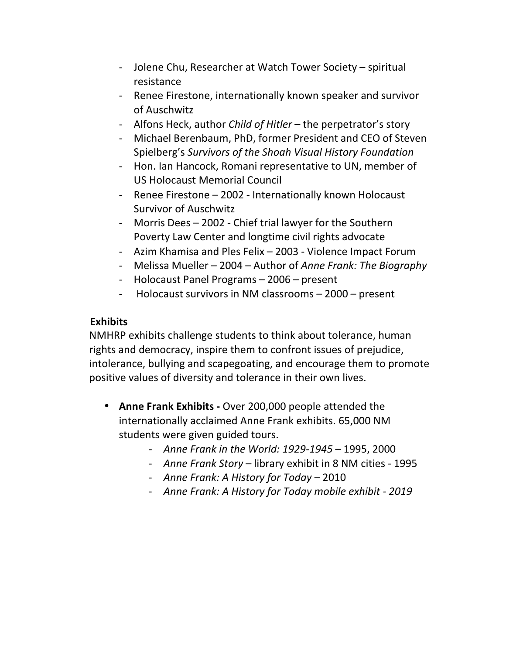- Jolene Chu, Researcher at Watch Tower Society spiritual resistance
- Renee Firestone, internationally known speaker and survivor of Auschwitz
- Alfons Heck, author *Child of Hitler* the perpetrator's story
- Michael Berenbaum, PhD, former President and CEO of Steven Spielberg's *Survivors of the Shoah Visual History Foundation*
- Hon. Ian Hancock, Romani representative to UN, member of US Holocaust Memorial Council
- Renee Firestone 2002 Internationally known Holocaust Survivor of Auschwitz
- Morris Dees 2002 Chief trial lawyer for the Southern Poverty Law Center and longtime civil rights advocate
- Azim Khamisa and Ples Felix 2003 Violence Impact Forum
- Melissa Mueller 2004 Author of *Anne Frank: The Biography*
- Holocaust Panel Programs 2006 present
- Holocaust survivors in NM classrooms 2000 present

## **Exhibits**

NMHRP exhibits challenge students to think about tolerance, human rights and democracy, inspire them to confront issues of prejudice, intolerance, bullying and scapegoating, and encourage them to promote positive values of diversity and tolerance in their own lives.

- Anne Frank Exhibits Over 200,000 people attended the internationally acclaimed Anne Frank exhibits. 65,000 NM students were given guided tours.
	- *Anne Frank in the World: 1929-1945* 1995, 2000
	- *Anne Frank Story* library exhibit in 8 NM cities 1995
	- *Anne Frank: A History for Today –* 2010
	- *Anne Frank: A History for Today mobile exhibit - 2019*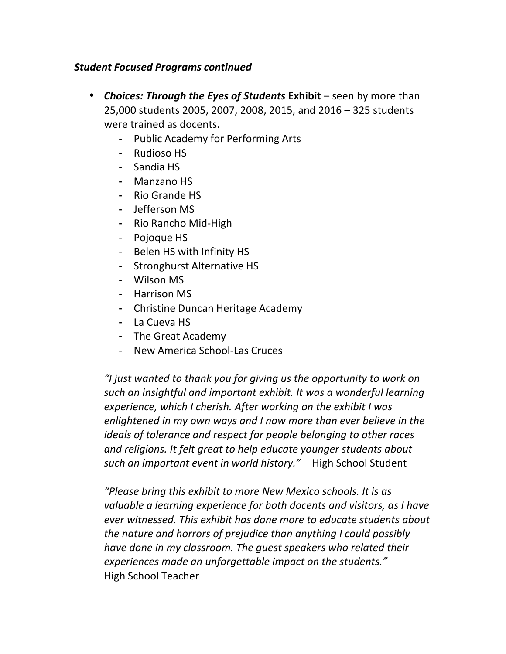### *Student Focused Programs continued*

- *Choices: Through the Eyes of Students Exhibit* seen by more than 25,000 students 2005, 2007, 2008, 2015, and 2016 - 325 students were trained as docents.
	- Public Academy for Performing Arts
	- Rudioso HS
	- Sandia HS
	- Manzano HS
	- Rio Grande HS
	- Jefferson MS
	- Rio Rancho Mid-High
	- Pojoque HS
	- Belen HS with Infinity HS
	- Stronghurst Alternative HS
	- Wilson MS
	- Harrison MS
	- Christine Duncan Heritage Academy
	- La Cueva HS
	- The Great Academy
	- New America School-Las Cruces

*"I just wanted to thank you for giving us the opportunity to work on such an insightful and important exhibit. It was a wonderful learning experience, which I cherish. After working on the exhibit I was enlightened in my own ways and I now more than ever believe in the ideals of tolerance and respect for people belonging to other races* and religions. It felt great to help educate younger students about *such an important event in world history."* High School Student

*"Please bring this exhibit to more New Mexico schools. It is as valuable a learning experience for both docents and visitors, as I have ever* witnessed. This exhibit has done more to educate students about *the nature and horrors of prejudice than anything I could possibly have done in my classroom. The quest speakers who related their experiences made an unforgettable impact on the students."* High School Teacher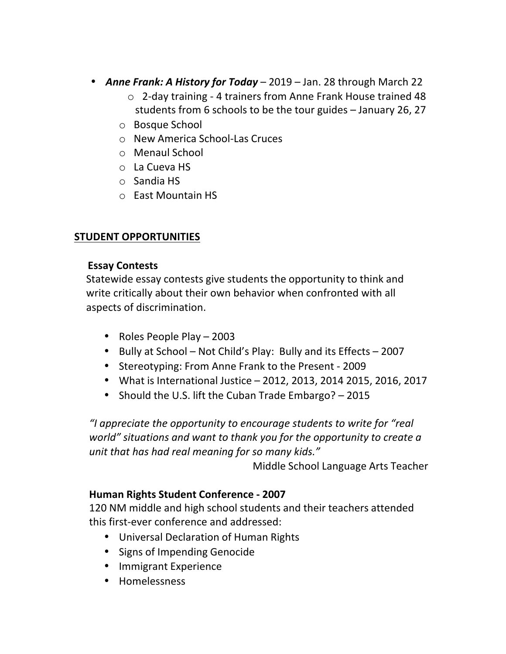- *Anne Frank: A History for Today* 2019 Jan. 28 through March 22
	- $\circ$  2-day training 4 trainers from Anne Frank House trained 48 students from 6 schools to be the tour guides – January 26, 27
	- o Bosque School
	- o New America School-Las Cruces
	- o Menaul School
	- o La Cueva HS
	- o Sandia HS
	- o East Mountain HS

# **STUDENT OPPORTUNITIES**

## **Essay Contests**

Statewide essay contests give students the opportunity to think and write critically about their own behavior when confronted with all aspects of discrimination.

- Roles People Play 2003
- Bully at School Not Child's Play: Bully and its Effects 2007
- Stereotyping: From Anne Frank to the Present 2009
- What is International Justice 2012, 2013, 2014 2015, 2016, 2017
- Should the U.S. lift the Cuban Trade Embargo? 2015

*"I appreciate the opportunity to encourage students to write for "real world" situations and want to thank you for the opportunity to create a unit that has had real meaning for so many kids."*

Middle School Language Arts Teacher

## **Human Rights Student Conference - 2007**

120 NM middle and high school students and their teachers attended this first-ever conference and addressed:

- Universal Declaration of Human Rights
- Signs of Impending Genocide
- Immigrant Experience
- Homelessness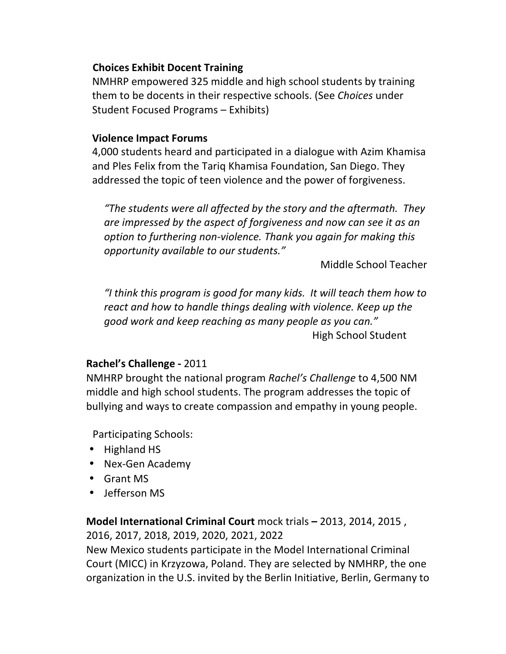## **Choices Exhibit Docent Training**

NMHRP empowered 325 middle and high school students by training them to be docents in their respective schools. (See *Choices* under Student Focused Programs – Exhibits)

### **Violence Impact Forums**

4,000 students heard and participated in a dialogue with Azim Khamisa and Ples Felix from the Tariq Khamisa Foundation, San Diego. They addressed the topic of teen violence and the power of forgiveness.

*"The students were all affected by the story and the aftermath. They* are impressed by the aspect of forgiveness and now can see it as an *option to furthering non-violence. Thank you again for making this opportunity available to our students."*

Middle School Teacher

*"I think this program is good for many kids. It will teach them how to react and how to handle things dealing with violence. Keep up the good work and keep reaching as many people as you can."* High School Student

## **Rachel's Challenge -** 2011

NMHRP brought the national program *Rachel's Challenge* to 4,500 NM middle and high school students. The program addresses the topic of bullying and ways to create compassion and empathy in young people.

Participating Schools:

- Highland HS
- Nex-Gen Academy
- Grant MS
- Jefferson MS

**Model International Criminal Court** mock trials – 2013, 2014, 2015, 2016, 2017, 2018, 2019, 2020, 2021, 2022

New Mexico students participate in the Model International Criminal Court (MICC) in Krzyzowa, Poland. They are selected by NMHRP, the one organization in the U.S. invited by the Berlin Initiative, Berlin, Germany to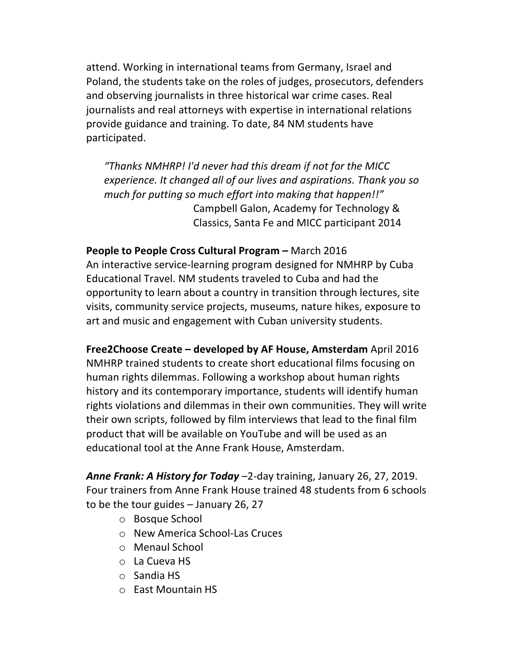attend. Working in international teams from Germany, Israel and Poland, the students take on the roles of judges, prosecutors, defenders and observing journalists in three historical war crime cases. Real journalists and real attorneys with expertise in international relations provide guidance and training. To date, 84 NM students have participated.

*"Thanks NMHRP! I'd never had this dream if not for the MICC experience. It changed all of our lives and aspirations. Thank you so much for putting so much effort into making that happen!!"* Campbell Galon, Academy for Technology & Classics, Santa Fe and MICC participant 2014

**People to People Cross Cultural Program –** March 2016 An interactive service-learning program designed for NMHRP by Cuba Educational Travel. NM students traveled to Cuba and had the opportunity to learn about a country in transition through lectures, site visits, community service projects, museums, nature hikes, exposure to art and music and engagement with Cuban university students.

**Free2Choose Create – developed by AF House, Amsterdam** April 2016 NMHRP trained students to create short educational films focusing on human rights dilemmas. Following a workshop about human rights history and its contemporary importance, students will identify human rights violations and dilemmas in their own communities. They will write their own scripts, followed by film interviews that lead to the final film product that will be available on YouTube and will be used as an educational tool at the Anne Frank House, Amsterdam.

Anne Frank: A History for Today -2-day training, January 26, 27, 2019. Four trainers from Anne Frank House trained 48 students from 6 schools to be the tour guides  $-$  January 26, 27

- o Bosque School
- o New America School-Las Cruces
- o Menaul School
- o La Cueva HS
- o Sandia HS
- o East Mountain HS